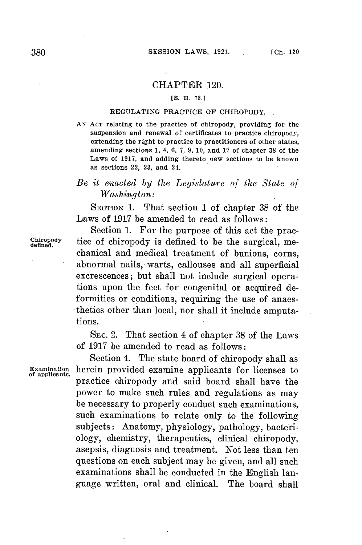## CHAPTER 120.

## **[S.** B. **78.]**

## **REGULATING PRACTICE OF CHIROPODY.**

**AN ACT relating to the practice of chiropody, providing for the suspension and renewal of certificates to practice chiropody, extending the right to practice to practitioners of other states, amending sections 1, 4, 6, 7, 9, 10, and 17 of chapter 38 of the Laws of 1917, and adding thereto new sections to be known as sections 22, 23, and 24.**

## *Be it enacted by the Legislature of the State of Washington:*

SECTION **1.** That section 1 of chapter **38** of the Laws of **1917** be amended to read as follows:

Section **1.** For the purpose of this act the prac-Chiropody tice of chiropody is defined to be the surgical, mechanical and medical treatment of bunions, corns, abnormal nails, warts, callouses and all superficial excrescences; but shall not include surgical operations upon the feet for congenital or acquired deformities or conditions, requiring the use of anaesthetics other than local, nor shall it include amputations.

> SEc. 2. That section 4 of chapter **38** of the Laws of **1917** be amended to read as follows:

Section 4. The state board of chiropody shall as herein provided examine applicants for licenses to practice chiropody and said board shall have the power to make such rules and regulations as may be necessary to properly conduct such examinations, such examinations to relate only to the following subjects: Anatomy, physiology, pathology, bacteriology, chemistry, therapeutics, clinical chiropody, asepsis, diagnosis and treatment. Not less than ten questions on each subject may be given, and all such examinations shall be conducted in the English language written, oral and clinical. The board shall **Examination of applicants.**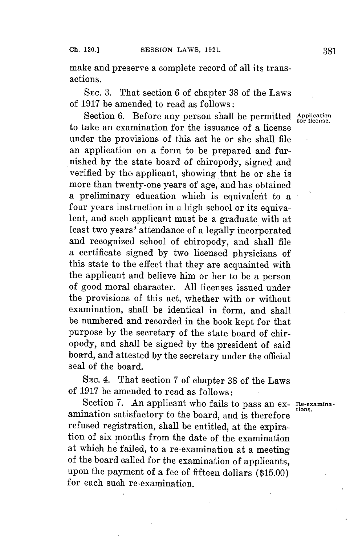make and preserve a complete record of all its transactions.

**SEC. 3.** That section **6** of chapter **38** of the Laws of **1917** be amended to read as follows:

Section 6. Before any person shall be permitted Application to take an examination for the issuance of a license under the provisions of this act he or she shall file an application on a form to be prepared and furnished **by** the state board of chiropody, signed and verified **by** the, applicant, showing that he or she is more than twenty-one years of age, and has obtained a preliminary education which is equivalent to a four years instruction in a high school or its equivalent, and such applicant must be a graduate with at least two years' attendance of a legally incorporated and recognized school of chiropody, and shall file a certificate signed **by** two licensed physicians of this state to the effect that they are acquainted with the applicant and believe him or her to be a person of good moral character. **All** licenses issued under the provisions of this act, whether with or without examination, shall be identical in form, and shall be numbered and recorded in the book kept for that purpose **by** the secretary of the state board of chiropody, and shall be signed **by** the president of said board, and attested **by** the secretary under the official seal of the board.

SEC. 4. That section **7** of chapter **38** of the Laws of **1917** be amended to read as follows:

Section **7.** An applicant who fails to pass an ex- **Re-examina**amination satisfactory to the board, and is therefore refused registration, shall be entitled, at the expiration of six months from the date of the examination at which he failed, to a re-examination at a meeting of the board called for the examination of applicants, upon the payment of a fee of fifteen dollars **(\$15.00)** for each such re-examination.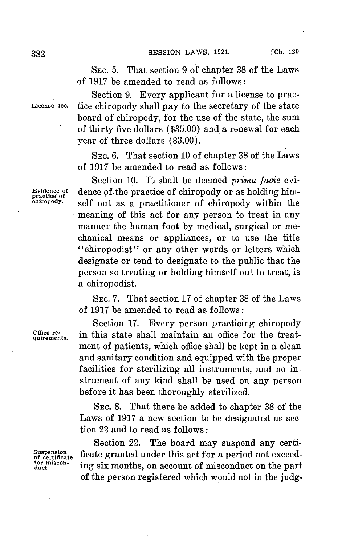**SEC. 5.** That section **9** of chapter **38** of the Laws of **1917** be amended to read as follows:

Section **9.** Every applicant for a license to prac-**License fee.** tice chiropody shall pay to the secretary of the state board of chiropody, for the use of the state, the sum of thirty-five dollars **(\$35.00)** and a renewal **for** each year of three dollars **(\$3.00).**

> **SEC. 6.** That section **10** of chapter **38** of the Laws of **1917** be amended to read as follows:

Section **10.** It shall be deemed *prima facie* evi-Evidence of dence of the practice of chiropody or as holding him-<br> **practice** of energy. **property** self out as a practitioner of chiropody within the meaning of this act for any person to treat in any manner the human foot **by** medical, surgical or mechanical means or appliances, or to use the title "chiropodist" or any other words or letters which designate or tend to designate to the public that the person so treating or holding himself out to treat, is a chiropodist.

> **SEC. 7.** That section **17** of chapter **38** of the Laws of **1917** be amended to read as follows:

> Section **17.** Every person practicing chiropody in this state shall maintain an office for the treatment of patients, which office shall be kept in a clean and sanitary condition and equipped with the proper facilities for sterilizing all instruments, and no instrument of any kind shall be used on any person before it has been thoroughly sterilized.

> SEc. **8.** That there be added to chapter **38** of the Laws of **1917** a new section to be designated as section 22 and to read as follows:

Section 22. The board may suspend any certi-Suspension of certificate ficate granted under this act for a period not exceed-<br>for miscon-<br>duct. ing six months, on account of misconduct on the part ing six months, on account of misconduct on the part of the person registered which would not in the **judg-**

Office re-<br>quirements.